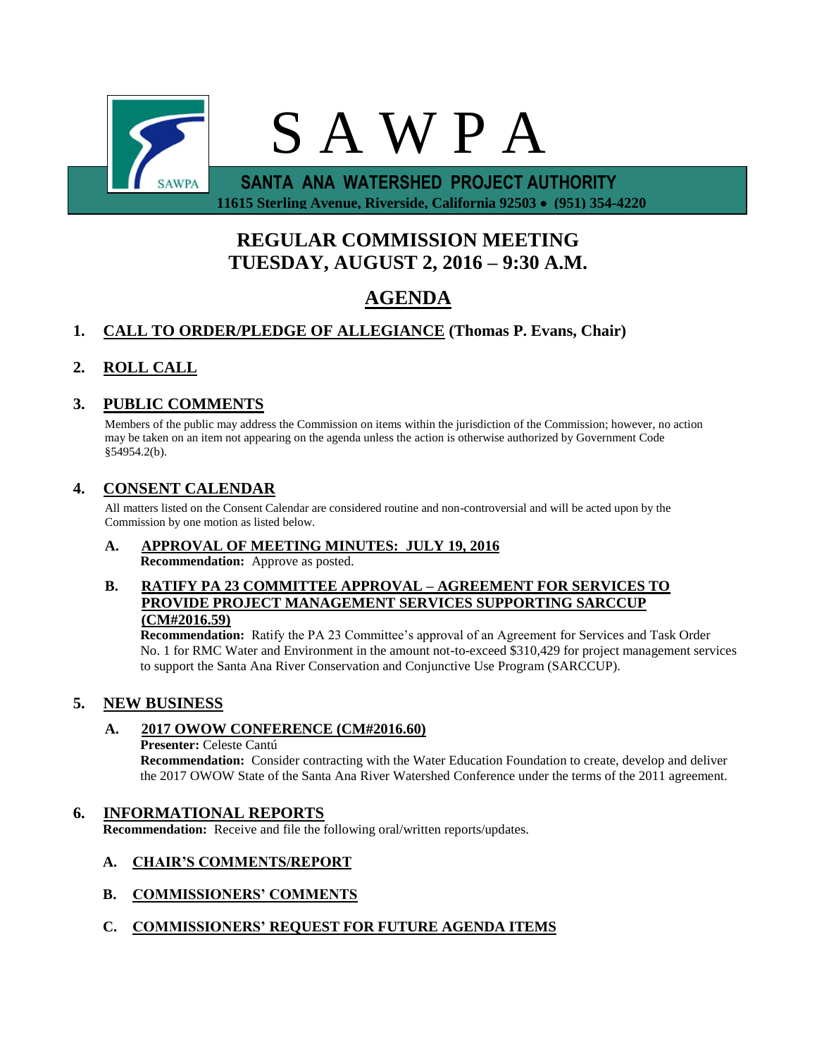

 **11615 Sterling Avenue, Riverside, California 92503 (951) 354-4220**

# **REGULAR COMMISSION MEETING TUESDAY, AUGUST 2, 2016 – 9:30 A.M.**

# **AGENDA**

## **1. CALL TO ORDER/PLEDGE OF ALLEGIANCE (Thomas P. Evans, Chair)**

## **2. ROLL CALL**

## **3. PUBLIC COMMENTS**

Members of the public may address the Commission on items within the jurisdiction of the Commission; however, no action may be taken on an item not appearing on the agenda unless the action is otherwise authorized by Government Code §54954.2(b).

## **4. CONSENT CALENDAR**

All matters listed on the Consent Calendar are considered routine and non-controversial and will be acted upon by the Commission by one motion as listed below.

# **A. APPROVAL OF MEETING MINUTES: JULY 19, 2016**

**Recommendation:** Approve as posted.

## **B. RATIFY PA 23 COMMITTEE APPROVAL – AGREEMENT FOR SERVICES TO PROVIDE PROJECT MANAGEMENT SERVICES SUPPORTING SARCCUP (CM#2016.59)**

**Recommendation:** Ratify the PA 23 Committee's approval of an Agreement for Services and Task Order No. 1 for RMC Water and Environment in the amount not-to-exceed \$310,429 for project management services to support the Santa Ana River Conservation and Conjunctive Use Program (SARCCUP).

## **5. NEW BUSINESS**

## **A. 2017 OWOW CONFERENCE (CM#2016.60)**

### **Presenter:** Celeste Cantú

**Recommendation:** Consider contracting with the Water Education Foundation to create, develop and deliver the 2017 OWOW State of the Santa Ana River Watershed Conference under the terms of the 2011 agreement.

## **6. INFORMATIONAL REPORTS**

**Recommendation:** Receive and file the following oral/written reports/updates.

## **A. CHAIR'S COMMENTS/REPORT**

- **B. COMMISSIONERS' COMMENTS**
- **C. COMMISSIONERS' REQUEST FOR FUTURE AGENDA ITEMS**